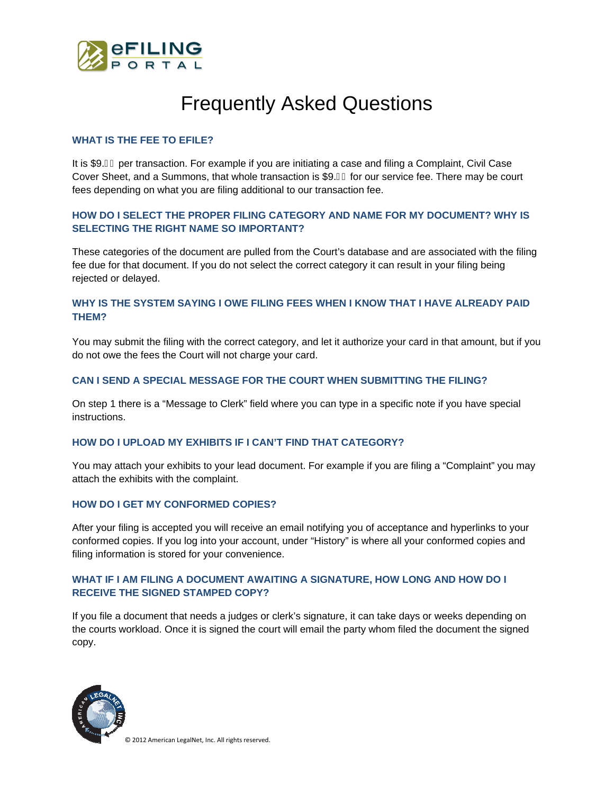

# Frequently Asked Questions

#### **WHAT IS THE FEE TO EFILE?**

It is \$9.JI per transaction. For example if you are initiating a case and filing a Complaint, Civil Case Cover Sheet, and a Summons, that whole transaction is \$9. J for our service fee. There may be court fees depending on what you are filing additional to our transaction fee.

# **HOW DO I SELECT THE PROPER FILING CATEGORY AND NAME FOR MY DOCUMENT? WHY IS SELECTING THE RIGHT NAME SO IMPORTANT?**

These categories of the document are pulled from the Court's database and are associated with the filing fee due for that document. If you do not select the correct category it can result in your filing being rejected or delayed.

# **WHY IS THE SYSTEM SAYING I OWE FILING FEES WHEN I KNOW THAT I HAVE ALREADY PAID THEM?**

You may submit the filing with the correct category, and let it authorize your card in that amount, but if you do not owe the fees the Court will not charge your card.

#### **CAN I SEND A SPECIAL MESSAGE FOR THE COURT WHEN SUBMITTING THE FILING?**

On step 1 there is a "Message to Clerk" field where you can type in a specific note if you have special instructions.

#### **HOW DO I UPLOAD MY EXHIBITS IF I CAN'T FIND THAT CATEGORY?**

You may attach your exhibits to your lead document. For example if you are filing a "Complaint" you may attach the exhibits with the complaint.

#### **HOW DO I GET MY CONFORMED COPIES?**

After your filing is accepted you will receive an email notifying you of acceptance and hyperlinks to your conformed copies. If you log into your account, under "History" is where all your conformed copies and filing information is stored for your convenience.

## **WHAT IF I AM FILING A DOCUMENT AWAITING A SIGNATURE, HOW LONG AND HOW DO I RECEIVE THE SIGNED STAMPED COPY?**

If you file a document that needs a judges or clerk's signature, it can take days or weeks depending on the courts workload. Once it is signed the court will email the party whom filed the document the signed copy.



© 2012 American LegalNet, Inc. All rights reserved.